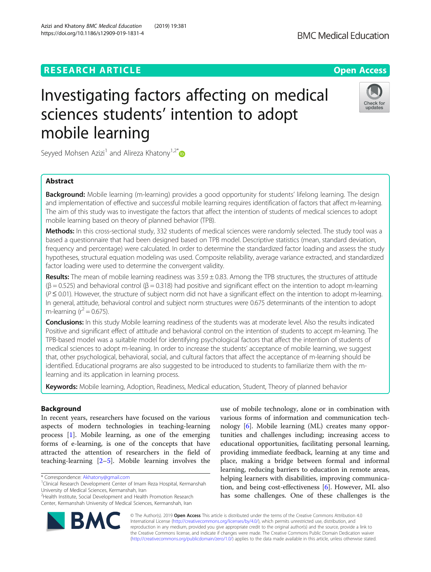# **RESEARCH ARTICLE EXECUTE: Open Access**

# Investigating factors affecting on medical sciences students' intention to adopt mobile learning

Seyyed Mohsen Azizi<sup>1</sup> and Alireza Khatony<sup>1,2[\\*](https://orcid.org/0000-0003-3552-5539)</sup>

# Abstract

**Background:** Mobile learning (m-learning) provides a good opportunity for students' lifelong learning. The design and implementation of effective and successful mobile learning requires identification of factors that affect m-learning. The aim of this study was to investigate the factors that affect the intention of students of medical sciences to adopt mobile learning based on theory of planned behavior (TPB).

Methods: In this cross-sectional study, 332 students of medical sciences were randomly selected. The study tool was a based a questionnaire that had been designed based on TPB model. Descriptive statistics (mean, standard deviation, frequency and percentage) were calculated. In order to determine the standardized factor loading and assess the study hypotheses, structural equation modeling was used. Composite reliability, average variance extracted, and standardized factor loading were used to determine the convergent validity.

Results: The mean of mobile learning readiness was  $3.59 \pm 0.83$ . Among the TPB structures, the structures of attitude  $(β = 0.525)$  and behavioral control  $(β = 0.318)$  had positive and significant effect on the intention to adopt m-learning  $(P \le 0.01)$ . However, the structure of subject norm did not have a significant effect on the intention to adopt m-learning. In general, attitude, behavioral control and subject norm structures were 0.675 determinants of the intention to adopt m-learning ( $r^2$  = 0.675).

Conclusions: In this study Mobile learning readiness of the students was at moderate level. Also the results indicated Positive and significant effect of attitude and behavioral control on the intention of students to accept m-learning. The TPB-based model was a suitable model for identifying psychological factors that affect the intention of students of medical sciences to adopt m-leaning. In order to increase the students' acceptance of mobile learning, we suggest that, other psychological, behavioral, social, and cultural factors that affect the acceptance of m-learning should be identified. Educational programs are also suggested to be introduced to students to familiarize them with the mlearning and its application in learning process.

Keywords: Mobile learning, Adoption, Readiness, Medical education, Student, Theory of planned behavior

## Background

In recent years, researchers have focused on the various aspects of modern technologies in teaching-learning process [[1\]](#page-8-0). Mobile learning, as one of the emerging forms of e-learning, is one of the concepts that have attracted the attention of researchers in the field of teaching-learning [\[2](#page-8-0)–[5\]](#page-8-0). Mobile learning involves the

\* Correspondence: [Akhatony@gmail.com](mailto:Akhatony@gmail.com) <sup>1</sup>

© The Author(s). 2019 Open Access This article is distributed under the terms of the Creative Commons Attribution 4.0 International License [\(http://creativecommons.org/licenses/by/4.0/](http://creativecommons.org/licenses/by/4.0/)), which permits unrestricted use, distribution, and reproduction in any medium, provided you give appropriate credit to the original author(s) and the source, provide a link to the Creative Commons license, and indicate if changes were made. The Creative Commons Public Domain Dedication waiver [\(http://creativecommons.org/publicdomain/zero/1.0/](http://creativecommons.org/publicdomain/zero/1.0/)) applies to the data made available in this article, unless otherwise stated.

use of mobile technology, alone or in combination with various forms of information and communication technology [[6\]](#page-8-0). Mobile learning (ML) creates many opportunities and challenges including; increasing access to educational opportunities, facilitating personal learning, providing immediate feedback, learning at any time and place, making a bridge between formal and informal learning, reducing barriers to education in remote areas, helping learners with disabilities, improving communication, and being cost-effectiveness [[6\]](#page-8-0). However, ML also has some challenges. One of these challenges is the





<sup>&</sup>lt;sup>1</sup>Clinical Research Development Center of Imam Reza Hospital, Kermanshah University of Medical Sciences, Kermanshah, Iran

<sup>&</sup>lt;sup>2</sup> Health Institute, Social Development and Health Promotion Research Center, Kermanshah University of Medical Sciences, Kermanshah, Iran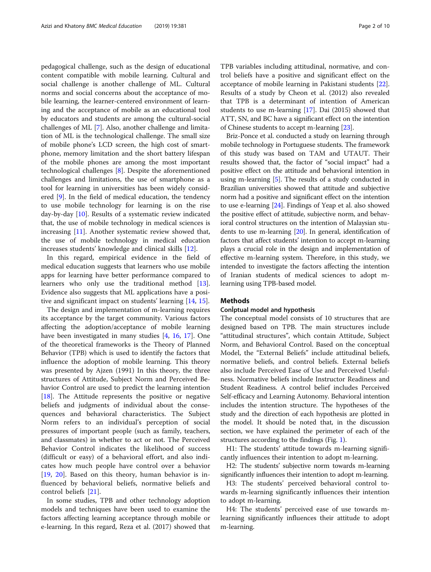pedagogical challenge, such as the design of educational content compatible with mobile learning. Cultural and social challenge is another challenge of ML. Cultural norms and social concerns about the acceptance of mobile learning, the learner-centered environment of learning and the acceptance of mobile as an educational tool by educators and students are among the cultural-social challenges of ML [\[7](#page-8-0)]. Also, another challenge and limitation of ML is the technological challenge. The small size of mobile phone's LCD screen, the high cost of smartphone, memory limitation and the short battery lifespan of the mobile phones are among the most important technological challenges [\[8](#page-8-0)]. Despite the aforementioned challenges and limitations, the use of smartphone as a tool for learning in universities has been widely considered [\[9](#page-8-0)]. In the field of medical education, the tendency to use mobile technology for learning is on the rise day-by-day [[10\]](#page-8-0). Results of a systematic review indicated that, the use of mobile technology in medical sciences is increasing [[11\]](#page-8-0). Another systematic review showed that, the use of mobile technology in medical education increases students' knowledge and clinical skills [\[12\]](#page-8-0).

In this regard, empirical evidence in the field of medical education suggests that learners who use mobile apps for learning have better performance compared to learners who only use the traditional method [\[13](#page-8-0)]. Evidence also suggests that ML applications have a positive and significant impact on students' learning [[14,](#page-8-0) [15](#page-8-0)].

The design and implementation of m-learning requires its acceptance by the target community. Various factors affecting the adoption/acceptance of mobile learning have been investigated in many studies [[4](#page-8-0), [16](#page-8-0), [17\]](#page-8-0). One of the theoretical frameworks is the Theory of Planned Behavior (TPB) which is used to identify the factors that influence the adoption of mobile learning. This theory was presented by Ajzen (1991) In this theory, the three structures of Attitude, Subject Norm and Perceived Behavior Control are used to predict the learning intention [[18\]](#page-9-0). The Attitude represents the positive or negative beliefs and judgments of individual about the consequences and behavioral characteristics. The Subject Norm refers to an individual's perception of social pressures of important people (such as family, teachers, and classmates) in whether to act or not. The Perceived Behavior Control indicates the likelihood of success (difficult or easy) of a behavioral effort, and also indicates how much people have control over a behavior [[19,](#page-9-0) [20\]](#page-9-0). Based on this theory, human behavior is influenced by behavioral beliefs, normative beliefs and control beliefs [\[21](#page-9-0)].

In some studies, TPB and other technology adoption models and techniques have been used to examine the factors affecting learning acceptance through mobile or e-learning. In this regard, Reza et al. (2017) showed that

TPB variables including attitudinal, normative, and control beliefs have a positive and significant effect on the acceptance of mobile learning in Pakistani students [\[22](#page-9-0)]. Results of a study by Cheon et al. (2012) also revealed that TPB is a determinant of intention of American students to use m-learning [[17\]](#page-8-0). Dai (2015) showed that ATT, SN, and BC have a significant effect on the intention of Chinese students to accept m-learning [\[23](#page-9-0)].

Briz-Ponce et al. conducted a study on learning through mobile technology in Portuguese students. The framework of this study was based on TAM and UTAUT. Their results showed that, the factor of "social impact" had a positive effect on the attitude and behavioral intention in using m-learning [[5\]](#page-8-0). The results of a study conducted in Brazilian universities showed that attitude and subjective norm had a positive and significant effect on the intention to use e-learning [[24](#page-9-0)]. Findings of Yeap et al. also showed the positive effect of attitude, subjective norm, and behavioral control structures on the intention of Malaysian students to use m-learning [\[20\]](#page-9-0). In general, identification of factors that affect students' intention to accept m-learning plays a crucial role in the design and implementation of effective m-learning system. Therefore, in this study, we intended to investigate the factors affecting the intention of Iranian students of medical sciences to adopt mlearning using TPB-based model.

## Methods

## ConÎptual model and hypothesis

The conceptual model consists of 10 structures that are designed based on TPB. The main structures include "attitudinal structures", which contain Attitude, Subject Norm, and Behavioral Control. Based on the conceptual Model, the "External Beliefs" include attitudinal beliefs, normative beliefs, and control beliefs. External beliefs also include Perceived Ease of Use and Perceived Usefulness. Normative beliefs include Instructor Readiness and Student Readiness. A control belief includes Perceived Self-efficacy and Learning Autonomy. Behavioral intention includes the intention structure. The hypotheses of the study and the direction of each hypothesis are plotted in the model. It should be noted that, in the discussion section, we have explained the perimeter of each of the structures according to the findings (Fig. [1](#page-2-0)).

H1: The students' attitude towards m-learning significantly influences their intention to adopt m-learning.

H2: The students' subjective norm towards m-learning significantly influences their intention to adopt m-learning.

H3: The students' perceived behavioral control towards m-learning significantly influences their intention to adopt m-learning.

H4: The students' perceived ease of use towards mlearning significantly influences their attitude to adopt m-learning.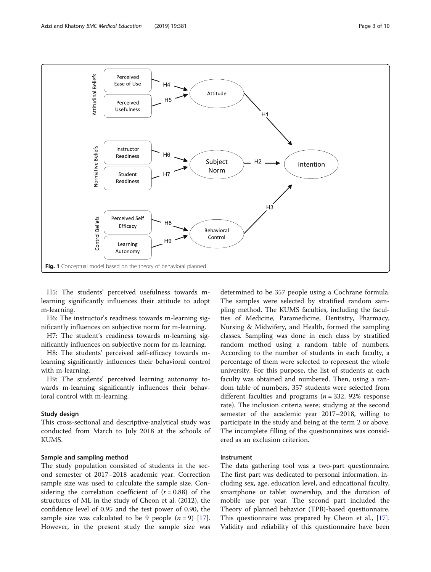<span id="page-2-0"></span>

H5: The students' perceived usefulness towards mlearning significantly influences their attitude to adopt m-learning.

H6: The instructor's readiness towards m-learning significantly influences on subjective norm for m-learning.

H7: The student's readiness towards m-learning significantly influences on subjective norm for m-learning.

H8: The students' perceived self-efficacy towards mlearning significantly influences their behavioral control with m-learning.

H9: The students' perceived learning autonomy towards m-learning significantly influences their behavioral control with m-learning.

## Study design

This cross-sectional and descriptive-analytical study was conducted from March to July 2018 at the schools of KUMS.

## Sample and sampling method

The study population consisted of students in the second semester of 2017–2018 academic year. Correction sample size was used to calculate the sample size. Considering the correlation coefficient of  $(r = 0.88)$  of the structures of ML in the study of Cheon et al. (2012), the confidence level of 0.95 and the test power of 0.90, the sample size was calculated to be 9 people  $(n = 9)$  [\[17](#page-8-0)]. However, in the present study the sample size was

determined to be 357 people using a Cochrane formula. The samples were selected by stratified random sampling method. The KUMS faculties, including the faculties of Medicine, Paramedicine, Dentistry, Pharmacy, Nursing & Midwifery, and Health, formed the sampling classes. Sampling was done in each class by stratified random method using a random table of numbers. According to the number of students in each faculty, a percentage of them were selected to represent the whole university. For this purpose, the list of students at each faculty was obtained and numbered. Then, using a random table of numbers, 357 students were selected from different faculties and programs ( $n = 332$ , 92% response rate). The inclusion criteria were; studying at the second semester of the academic year 2017–2018, willing to participate in the study and being at the term 2 or above. The incomplete filling of the questionnaires was considered as an exclusion criterion.

## Instrument

The data gathering tool was a two-part questionnaire. The first part was dedicated to personal information, including sex, age, education level, and educational faculty, smartphone or tablet ownership, and the duration of mobile use per year. The second part included the Theory of planned behavior (TPB)-based questionnaire. This questionnaire was prepared by Cheon et al., [\[17](#page-8-0)]. Validity and reliability of this questionnaire have been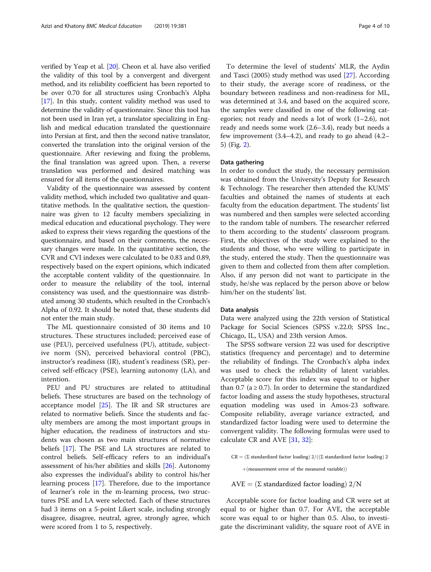verified by Yeap et al. [[20](#page-9-0)]. Cheon et al. have also verified the validity of this tool by a convergent and divergent method, and its reliability coefficient has been reported to be over 0.70 for all structures using Cronbach's Alpha [[17](#page-8-0)]. In this study, content validity method was used to determine the validity of questionnaire. Since this tool has not been used in Iran yet, a translator specializing in English and medical education translated the questionnaire into Persian at first, and then the second native translator, converted the translation into the original version of the questionnaire. After reviewing and fixing the problems, the final translation was agreed upon. Then, a reverse translation was performed and desired matching was ensured for all items of the questionnaires.

Validity of the questionnaire was assessed by content validity method, which included two qualitative and quantitative methods. In the qualitative section, the questionnaire was given to 12 faculty members specializing in medical education and educational psychology. They were asked to express their views regarding the questions of the questionnaire, and based on their comments, the necessary changes were made. In the quantitative section, the CVR and CVI indexes were calculated to be 0.83 and 0.89, respectively based on the expert opinions, which indicated the acceptable content validity of the questionnaire. In order to measure the reliability of the tool, internal consistency was used, and the questionnaire was distributed among 30 students, which resulted in the Cronbach's Alpha of 0.92. It should be noted that, these students did not enter the main study.

The ML questionnaire consisted of 30 items and 10 structures. These structures included; perceived ease of use (PEU), perceived usefulness (PU), attitude, subjective norm (SN), perceived behavioral control (PBC), instructor's readiness (IR), student's readiness (SR), perceived self-efficacy (PSE), learning autonomy (LA), and intention.

PEU and PU structures are related to attitudinal beliefs. These structures are based on the technology of acceptance model [\[25\]](#page-9-0). The IR and SR structures are related to normative beliefs. Since the students and faculty members are among the most important groups in higher education, the readiness of instructors and students was chosen as two main structures of normative beliefs [\[17\]](#page-8-0). The PSE and LA structures are related to control beliefs. Self-efficacy refers to an individual's assessment of his/her abilities and skills [\[26](#page-9-0)]. Autonomy also expresses the individual's ability to control his/her learning process [\[17\]](#page-8-0). Therefore, due to the importance of learner's role in the m-learning process, two structures PSE and LA were selected. Each of these structures had 3 items on a 5-point Likert scale, including strongly disagree, disagree, neutral, agree, strongly agree, which were scored from 1 to 5, respectively.

To determine the level of students' MLR, the Aydin and Tasci (2005) study method was used [\[27\]](#page-9-0). According to their study, the average score of readiness, or the boundary between readiness and non-readiness for ML, was determined at 3.4, and based on the acquired score, the samples were classified in one of the following categories; not ready and needs a lot of work (1–2.6), not ready and needs some work (2.6–3.4), ready but needs a few improvement (3.4–4.2), and ready to go ahead (4.2– 5) (Fig. [2](#page-4-0)).

## Data gathering

In order to conduct the study, the necessary permission was obtained from the University's Deputy for Research & Technology. The researcher then attended the KUMS' faculties and obtained the names of students at each faculty from the education department. The students' list was numbered and then samples were selected according to the random table of numbers. The researcher referred to them according to the students' classroom program. First, the objectives of the study were explained to the students and those, who were willing to participate in the study, entered the study. Then the questionnaire was given to them and collected from them after completion. Also, if any person did not want to participate in the study, he/she was replaced by the person above or below him/her on the students' list.

## Data analysis

Data were analyzed using the 22th version of Statistical Package for Social Sciences (SPSS v.22.0; SPSS Inc., Chicago, IL, USA) and 23th version Amos.

The SPSS software version 22 was used for descriptive statistics (frequency and percentage) and to determine the reliability of findings. The Cronbach's alpha index was used to check the reliability of latent variables. Acceptable score for this index was equal to or higher than 0.7 ( $a \ge 0.7$ ). In order to determine the standardized factor loading and assess the study hypotheses, structural equation modeling was used in Amos-23 software. Composite reliability, average variance extracted, and standardized factor loading were used to determine the convergent validity. The following formulas were used to calculate CR and AVE [\[31,](#page-9-0) [32\]](#page-9-0):

 $\text{CR} = (\Sigma$  standardized factor loading)  $2/((\Sigma$  standardized factor loading)  $2$ 

 $+($ measurement error of the measured variable $))$ 

 $AVE = (\Sigma \text{ standardized factor loading}) 2/N$ 

Acceptable score for factor loading and CR were set at equal to or higher than 0.7. For AVE, the acceptable score was equal to or higher than 0.5. Also, to investigate the discriminant validity, the square root of AVE in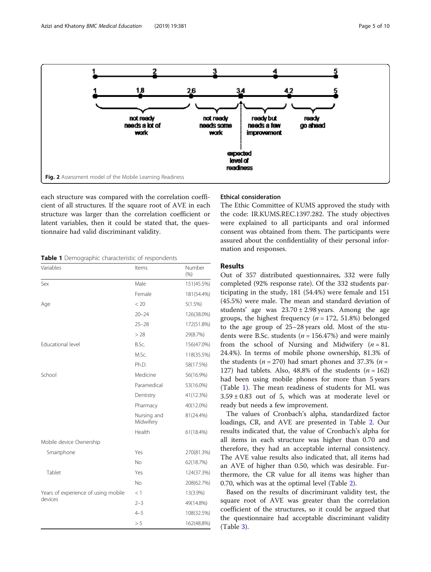<span id="page-4-0"></span>

each structure was compared with the correlation coefficient of all structures. If the square root of AVE in each structure was larger than the correlation coefficient or latent variables, then it could be stated that, the questionnaire had valid discriminant validity.

Table 1 Demographic characteristic of respondents

| Variables                           | Items                    | Number<br>(% ) |
|-------------------------------------|--------------------------|----------------|
| Sex                                 | Male                     | 151(45.5%)     |
|                                     | Female                   | 181(54.4%)     |
| Age                                 | < 20                     | 5(1.5%)        |
|                                     | $20 - 24$                | 126(38.0%)     |
|                                     | $25 - 28$                | 172(51.8%)     |
|                                     | > 28                     | 29(8.7%)       |
| Educational level                   | B.Sc.                    | 156(47.0%)     |
|                                     | M.Sc.                    | 118(35.5%)     |
|                                     | Ph.D.                    | 58(17.5%)      |
| School                              | Medicine                 | 56(16.9%)      |
|                                     | Paramedical              | 53(16.0%)      |
|                                     | Dentistry                | 41(12.3%)      |
|                                     | Pharmacy                 | 40(12.0%)      |
|                                     | Nursing and<br>Midwifery | 81(24.4%)      |
|                                     | Health                   | 61(18.4%)      |
| Mobile device Ownership             |                          |                |
| Smartphone                          | Yes                      | 270(81.3%)     |
|                                     | <b>No</b>                | 62(18.7%)      |
| Tablet                              | Yes                      | 124(37.3%)     |
|                                     | No                       | 208(62.7%)     |
| Years of experience of using mobile | <1                       | 13(3.9%)       |
| devices                             | $2 - 3$                  | 49(14.8%)      |
|                                     | $4 - 5$                  | 108(32.5%)     |
|                                     | > 5                      | 162(48.8%)     |

## Ethical consideration

The Ethic Committee of KUMS approved the study with the code: IR.KUMS.REC.1397.282. The study objectives were explained to all participants and oral informed consent was obtained from them. The participants were assured about the confidentiality of their personal information and responses.

## Results

Out of 357 distributed questionnaires, 332 were fully completed (92% response rate). Of the 332 students participating in the study, 181 (54.4%) were female and 151 (45.5%) were male. The mean and standard deviation of students' age was  $23.70 \pm 2.98$  years. Among the age groups, the highest frequency ( $n = 172, 51.8\%$ ) belonged to the age group of 25–28 years old. Most of the students were B.Sc. students ( $n = 156.47\%$ ) and were mainly from the school of Nursing and Midwifery  $(n = 81$ . 24.4%). In terms of mobile phone ownership, 81.3% of the students ( $n = 270$ ) had smart phones and 37.3% ( $n =$ 127) had tablets. Also, 48.8% of the students  $(n = 162)$ had been using mobile phones for more than 5 years (Table 1). The mean readiness of students for ML was  $3.59 \pm 0.83$  out of 5, which was at moderate level or ready but needs a few improvement.

The values of Cronbach's alpha, standardized factor loadings, CR, and AVE are presented in Table [2](#page-5-0). Our results indicated that, the value of Cronbach's alpha for all items in each structure was higher than 0.70 and therefore, they had an acceptable internal consistency. The AVE value results also indicated that, all items had an AVE of higher than 0.50, which was desirable. Furthermore, the CR value for all items was higher than 0.70, which was at the optimal level (Table [2\)](#page-5-0).

Based on the results of discriminant validity test, the square root of AVE was greater than the correlation coefficient of the structures, so it could be argued that the questionnaire had acceptable discriminant validity (Table [3\)](#page-5-0).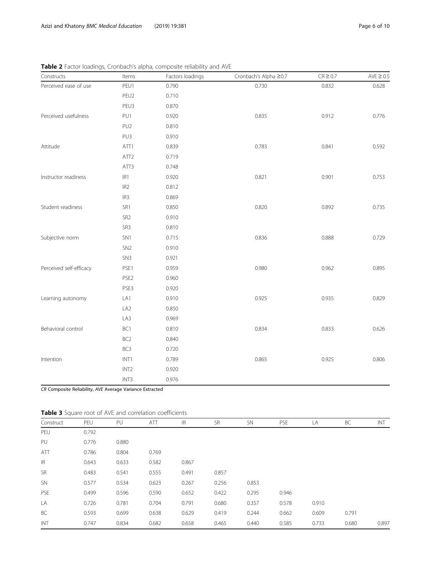| Page 6 of |  |
|-----------|--|
|           |  |

| Constructs              | Items            | Factors loadings | Cronbach's Alpha ≥0.7 | $CR \ge 0.7$ | AVE $\geq 0.5$ |
|-------------------------|------------------|------------------|-----------------------|--------------|----------------|
| Perceived ease of use   | PEU1             | 0.790            | 0.730                 | 0.832        | 0.628          |
|                         | PEU2             | 0.710            |                       |              |                |
|                         | PEU3             | 0.870            |                       |              |                |
| Perceived usefulness    | PU1              | 0.920            | 0.835                 | 0.912        | 0.776          |
|                         | PU <sub>2</sub>  | 0.810            |                       |              |                |
|                         | PU3              | 0.910            |                       |              |                |
| Attitude                | ATT1             | 0.839            | 0.783                 | 0.841        | 0.592          |
|                         | ATT <sub>2</sub> | 0.719            |                       |              |                |
|                         | ATT3             | 0.748            |                       |              |                |
| Instructor readiness    | IR1              | 0.920            | 0.821                 | 0.901        | 0.753          |
|                         | IR <sub>2</sub>  | 0.812            |                       |              |                |
|                         | IR <sub>3</sub>  | 0.869            |                       |              |                |
| Student readiness       | SR1              | 0.850            | 0.820                 | 0.892        | 0.735          |
|                         | SR <sub>2</sub>  | 0.910            |                       |              |                |
|                         | SR3              | 0.810            |                       |              |                |
| Subjective norm         | SN <sub>1</sub>  | 0.715            | 0.836                 | 0.888        | 0.729          |
|                         | SN <sub>2</sub>  | 0.910            |                       |              |                |
|                         | SN <sub>3</sub>  | 0.921            |                       |              |                |
| Perceived self-efficacy | PSE1             | 0.959            | 0.980                 | 0.962        | 0.895          |
|                         | PSE <sub>2</sub> | 0.960            |                       |              |                |
|                         | PSE3             | 0.920            |                       |              |                |
| Learning autonomy       | LA1              | 0.910            | 0.925                 | 0.935        | 0.829          |
|                         | LA <sub>2</sub>  | 0.850            |                       |              |                |
|                         | LA3              | 0.969            |                       |              |                |
| Behavioral control      | BC1              | 0.810            | 0.834                 | 0.833        | 0.626          |
|                         | BC <sub>2</sub>  | 0.840            |                       |              |                |
|                         | BC <sub>3</sub>  | 0.720            |                       |              |                |
| Intention               | INT1             | 0.789            | 0.865                 | 0.925        | 0.806          |
|                         | INT <sub>2</sub> | 0.920            |                       |              |                |
|                         | INT3             | 0.976            |                       |              |                |

<span id="page-5-0"></span>

| Table 2 Factor loadings, Cronbach's alpha, composite reliability and AVE |  |  |
|--------------------------------------------------------------------------|--|--|
|                                                                          |  |  |

CR Composite Reliability, AVE Average Variance Extracted

|  |  |  |  |  |  | Table 3 Square root of AVE and correlation coefficients |
|--|--|--|--|--|--|---------------------------------------------------------|
|--|--|--|--|--|--|---------------------------------------------------------|

| Construct | PEU   | PU    | ATT   | IR    | <b>SR</b> | <b>SN</b> | <b>PSE</b> | LA    | BC    | INT   |
|-----------|-------|-------|-------|-------|-----------|-----------|------------|-------|-------|-------|
| PEU       | 0.792 |       |       |       |           |           |            |       |       |       |
| PU        | 0.776 | 0.880 |       |       |           |           |            |       |       |       |
| ATT       | 0.786 | 0.804 | 0.769 |       |           |           |            |       |       |       |
| IR        | 0.643 | 0.633 | 0.582 | 0.867 |           |           |            |       |       |       |
| <b>SR</b> | 0.483 | 0.541 | 0.555 | 0.491 | 0.857     |           |            |       |       |       |
| <b>SN</b> | 0.577 | 0.534 | 0.623 | 0.267 | 0.256     | 0.853     |            |       |       |       |
| PSE       | 0.499 | 0.596 | 0.590 | 0.652 | 0.422     | 0.295     | 0.946      |       |       |       |
| LA        | 0.726 | 0.781 | 0.704 | 0.791 | 0.680     | 0.357     | 0.578      | 0.910 |       |       |
| BC        | 0.593 | 0.699 | 0.638 | 0.629 | 0.419     | 0.244     | 0.662      | 0.609 | 0.791 |       |
| INT       | 0.747 | 0.834 | 0.682 | 0.658 | 0.465     | 0.440     | 0.585      | 0.733 | 0.680 | 0.897 |
|           |       |       |       |       |           |           |            |       |       |       |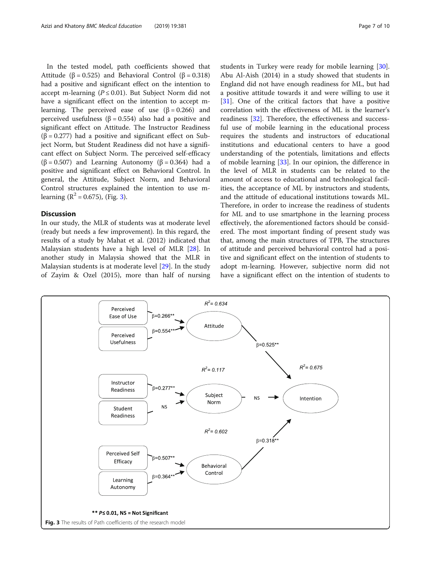In the tested model, path coefficients showed that Attitude (β = 0.525) and Behavioral Control (β = 0.318) had a positive and significant effect on the intention to accept m-learning ( $P \le 0.01$ ). But Subject Norm did not have a significant effect on the intention to accept mlearning. The perceived ease of use  $(\beta = 0.266)$  and perceived usefulness ( $β = 0.554$ ) also had a positive and significant effect on Attitude. The Instructor Readiness (β = 0.277) had a positive and significant effect on Subject Norm, but Student Readiness did not have a significant effect on Subject Norm. The perceived self-efficacy ( $\beta$  = 0.507) and Learning Autonomy ( $\beta$  = 0.364) had a positive and significant effect on Behavioral Control. In general, the Attitude, Subject Norm, and Behavioral Control structures explained the intention to use mlearning  $(R^2 = 0.675)$ , (Fig. 3).

## Discussion

In our study, the MLR of students was at moderate level (ready but needs a few improvement). In this regard, the results of a study by Mahat et al. (2012) indicated that Malaysian students have a high level of MLR [[28\]](#page-9-0). In another study in Malaysia showed that the MLR in Malaysian students is at moderate level [\[29](#page-9-0)]. In the study of Zayim & Ozel (2015), more than half of nursing students in Turkey were ready for mobile learning [\[30](#page-9-0)]. Abu Al-Aish (2014) in a study showed that students in England did not have enough readiness for ML, but had a positive attitude towards it and were willing to use it [[31\]](#page-9-0). One of the critical factors that have a positive correlation with the effectiveness of ML is the learner's readiness [\[32](#page-9-0)]. Therefore, the effectiveness and successful use of mobile learning in the educational process requires the students and instructors of educational institutions and educational centers to have a good understanding of the potentials, limitations and effects of mobile learning [[33](#page-9-0)]. In our opinion, the difference in the level of MLR in students can be related to the amount of access to educational and technological facilities, the acceptance of ML by instructors and students, and the attitude of educational institutions towards ML. Therefore, in order to increase the readiness of students for ML and to use smartphone in the learning process effectively, the aforementioned factors should be considered. The most important finding of present study was that, among the main structures of TPB, The structures of attitude and perceived behavioral control had a positive and significant effect on the intention of students to adopt m-learning. However, subjective norm did not

have a significant effect on the intention of students to

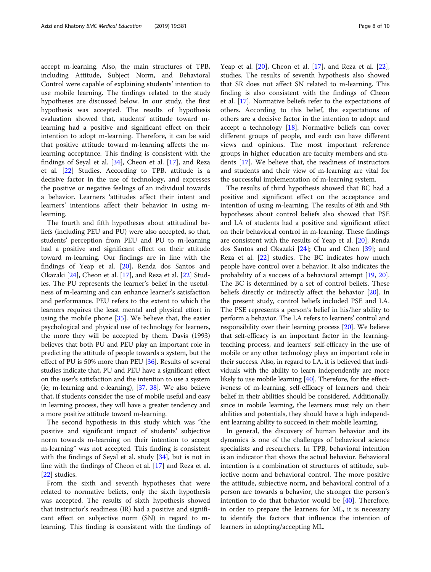accept m-learning. Also, the main structures of TPB, including Attitude, Subject Norm, and Behavioral Control were capable of explaining students' intention to use mobile learning. The findings related to the study hypotheses are discussed below. In our study, the first hypothesis was accepted. The results of hypothesis evaluation showed that, students' attitude toward mlearning had a positive and significant effect on their intention to adopt m-learning. Therefore, it can be said that positive attitude toward m-learning affects the mlearning acceptance. This finding is consistent with the findings of Seyal et al.  $[34]$  $[34]$ , Cheon et al.  $[17]$  $[17]$  $[17]$ , and Reza et al. [\[22\]](#page-9-0) Studies. According to TPB, attitude is a decisive factor in the use of technology, and expresses the positive or negative feelings of an individual towards a behavior. Learners 'attitudes affect their intent and learners' intentions affect their behavior in using mlearning.

The fourth and fifth hypotheses about attitudinal beliefs (including PEU and PU) were also accepted, so that, students' perception from PEU and PU to m-learning had a positive and significant effect on their attitude toward m-learning. Our findings are in line with the findings of Yeap et al. [[20\]](#page-9-0), Renda dos Santos and Okazaki [[24\]](#page-9-0), Cheon et al. [\[17\]](#page-8-0), and Reza et al. [\[22](#page-9-0)] Studies. The PU represents the learner's belief in the usefulness of m-learning and can enhance learner's satisfaction and performance. PEU refers to the extent to which the learners requires the least mental and physical effort in using the mobile phone [[35](#page-9-0)]. We believe that, the easier psychological and physical use of technology for learners, the more they will be accepted by them. Davis (1993) believes that both PU and PEU play an important role in predicting the attitude of people towards a system, but the effect of PU is 50% more than PEU [[36\]](#page-9-0). Results of several studies indicate that, PU and PEU have a significant effect on the user's satisfaction and the intention to use a system (ie; m-learning and e-learning), [\[37](#page-9-0), [38\]](#page-9-0). We also believe that, if students consider the use of mobile useful and easy in learning process, they will have a greater tendency and a more positive attitude toward m-learning.

The second hypothesis in this study which was "the positive and significant impact of students' subjective norm towards m-learning on their intention to accept m-learning" was not accepted. This finding is consistent with the findings of Seyal et al. study [\[34](#page-9-0)], but is not in line with the findings of Cheon et al. [\[17](#page-8-0)] and Reza et al. [[22\]](#page-9-0) studies.

From the sixth and seventh hypotheses that were related to normative beliefs, only the sixth hypothesis was accepted. The results of sixth hypothesis showed that instructor's readiness (IR) had a positive and significant effect on subjective norm (SN) in regard to mlearning. This finding is consistent with the findings of

Yeap et al. [[20](#page-9-0)], Cheon et al. [\[17](#page-8-0)], and Reza et al. [\[22](#page-9-0)], studies. The results of seventh hypothesis also showed that SR does not affect SN related to m-learning. This finding is also consistent with the findings of Cheon et al. [\[17](#page-8-0)]. Normative beliefs refer to the expectations of others. According to this belief, the expectations of others are a decisive factor in the intention to adopt and accept a technology [[18\]](#page-9-0). Normative beliefs can cover different groups of people, and each can have different views and opinions. The most important reference groups in higher education are faculty members and students [[17\]](#page-8-0). We believe that, the readiness of instructors and students and their view of m-learning are vital for the successful implementation of m-learning system.

The results of third hypothesis showed that BC had a positive and significant effect on the acceptance and intention of using m-learning. The results of 8th and 9th hypotheses about control beliefs also showed that PSE and LA of students had a positive and significant effect on their behavioral control in m-learning. These findings are consistent with the results of Yeap et al. [[20](#page-9-0)]; Renda dos Santos and Okazaki [\[24](#page-9-0)]; Chu and Chen [\[39\]](#page-9-0); and Reza et al. [\[22\]](#page-9-0) studies. The BC indicates how much people have control over a behavior. It also indicates the probability of a success of a behavioral attempt [[19,](#page-9-0) [20](#page-9-0)]. The BC is determined by a set of control beliefs. These beliefs directly or indirectly affect the behavior [[20](#page-9-0)]. In the present study, control beliefs included PSE and LA. The PSE represents a person's belief in his/her ability to perform a behavior. The LA refers to learners' control and responsibility over their learning process [[20](#page-9-0)]. We believe that self-efficacy is an important factor in the learningteaching process, and learners' self-efficacy in the use of mobile or any other technology plays an important role in their success. Also, in regard to LA, it is believed that individuals with the ability to learn independently are more likely to use mobile learning [[40](#page-9-0)]. Therefore, for the effectiveness of m-learning, self-efficacy of learners and their belief in their abilities should be considered. Additionally, since in mobile learning, the learners must rely on their abilities and potentials, they should have a high independent learning ability to succeed in their mobile learning.

In general, the discovery of human behavior and its dynamics is one of the challenges of behavioral science specialists and researchers. In TPB, behavioral intention is an indicator that shows the actual behavior. Behavioral intention is a combination of structures of attitude, subjective norm and behavioral control. The more positive the attitude, subjective norm, and behavioral control of a person are towards a behavior, the stronger the person's intention to do that behavior would be  $[40]$  $[40]$ . Therefore, in order to prepare the learners for ML, it is necessary to identify the factors that influence the intention of learners in adopting/accepting ML.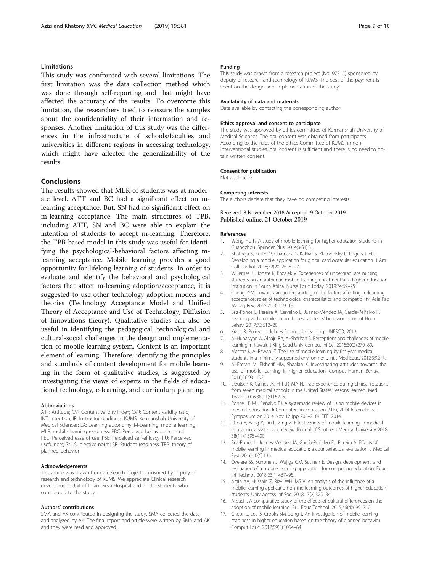## <span id="page-8-0"></span>Limitations

This study was confronted with several limitations. The first limitation was the data collection method which was done through self-reporting and that might have affected the accuracy of the results. To overcome this limitation, the researchers tried to reassure the samples about the confidentiality of their information and responses. Another limitation of this study was the differences in the infrastructure of schools/faculties and universities in different regions in accessing technology, which might have affected the generalizability of the results.

## Conclusions

The results showed that MLR of students was at moderate level. ATT and BC had a significant effect on mlearning acceptance. But, SN had no significant effect on m-learning acceptance. The main structures of TPB, including ATT, SN and BC were able to explain the intention of students to accept m-learning. Therefore, the TPB-based model in this study was useful for identifying the psychological-behavioral factors affecting mlearning acceptance. Mobile learning provides a good opportunity for lifelong learning of students. In order to evaluate and identify the behavioral and psychological factors that affect m-learning adoption/acceptance, it is suggested to use other technology adoption models and theories (Technology Acceptance Model and Unified Theory of Acceptance and Use of Technology, Diffusion of Innovations theory). Qualitative studies can also be useful in identifying the pedagogical, technological and cultural-social challenges in the design and implementation of mobile learning system. Content is an important element of learning. Therefore, identifying the principles and standards of content development for mobile learning in the form of qualitative studies, is suggested by investigating the views of experts in the fields of educational technology, e-learning, and curriculum planning.

## Abbreviations

ATT: Attitude; CVI: Content validity index; CVR: Content validity ratio; INT: Intention; IR: Instructor readiness; KUMS: Kermanshah University of Medical Sciences; LA: Learning autonomy; M-Learning: mobile learning; MLR: mobile learning readiness; PBC: Perceived behavioral control; PEU: Perceived ease of use; PSE: Perceived self-efficacy; PU: Perceived usefulness; SN: Subjective norm; SR: Student readiness; TPB: theory of planned behavior

#### Acknowledgements

This article was drawn from a research project sponsored by deputy of research and technology of KUMS. We appreciate Clinical research development Unit of Imam Reza Hospital and all the students who contributed to the study.

## Authors' contributions

SMA and AK contributed in designing the study, SMA collected the data, and analyzed by AK. The final report and article were written by SMA and AK and they were read and approved.

## Funding

This study was drawn from a research project (No. 97315) sponsored by deputy of research and technology of KUMS. The cost of the payment is spent on the design and implementation of the study.

#### Availability of data and materials

Data available by contacting the corresponding author.

#### Ethics approval and consent to participate

The study was approved by ethics committee of Kermanshah University of Medical Sciences. The oral consent was obtained from participants. According to the rules of the Ethics Committee of KUMS, in noninterventional studies, oral consent is sufficient and there is no need to obtain written consent.

#### Consent for publication

Not applicable

## Competing interests

The authors declare that they have no competing interests.

## Received: 8 November 2018 Accepted: 9 October 2019 Published online: 21 October 2019

#### References

- 1. Wong HC-h. A study of mobile learning for higher education students in Guangzhou. Springer Plus. 2014;3(S1):3.
- 2. Bhatheja S, Fuster V, Chamaria S, Kakkar S, Zlatopolsky R, Rogers J, et al. Developing a mobile application for global cardiovascular education. J Am Coll Cardiol. 2018;72(20):2518–27.
- 3. Willemse JJ, Jooste K, Bozalek V. Experiences of undergraduate nursing students on an authentic mobile learning enactment at a higher education institution in South Africa. Nurse Educ Today. 2019;74:69–75.
- 4. Cheng Y-M. Towards an understanding of the factors affecting m-learning acceptance: roles of technological characteristics and compatibility. Asia Pac Manag Rev. 2015;20(3):109–19.
- 5. Briz-Ponce L, Pereira A, Carvalho L, Juanes-Méndez JA, García-Peñalvo FJ. Learning with mobile technologies–students' behavior. Comput Hum Behav. 2017;72:612–20.
- Kraut R. Policy guidelines for mobile learning: UNESCO; 2013.
- 7. Al-Hunaiyyan A, Alhajri RA, Al-Sharhan S. Perceptions and challenges of mobile learning in Kuwait. J King Saud Univ-Comput Inf Sci. 2018;30(2):279–89.
- 8. Masters K, Al-Rawahi Z. The use of mobile learning by 6th-year medical students in a minimally-supported environment. Int J Med Educ. 2012;3:92–7.
- 9. Al-Emran M, Elsherif HM, Shaalan K. Investigating attitudes towards the use of mobile learning in higher education. Comput Human Behav. 2016;56:93–102.
- 10. Deutsch K, Gaines JK, Hill JR, MA N. iPad experience during clinical rotations from seven medical schools in the United States: lessons learned. Med Teach. 2016;38(11):1152–6.
- 11. Ponce LB MJ, Peñalvo FJ. A systematic review of using mobile devices in medical education. InComputers in Education (SIIE), 2014 International Symposium on 2014 Nov 12 (pp 205–210) IEEE. 2014.
- 12. Zhou Y, Yang Y, Liu L, Zing Z. Effectiveness of mobile learning in medical education: a systematic review Journal of Southern Medical University 2018; 38(11):1395–400.
- 13. Briz-Ponce L, Juanes-Méndez JA, García-Peñalvo FJ, Pereira A. Effects of mobile learning in medical education: a counterfactual evaluation. J Medical Syst. 2016;40(6):136.
- 14. Oyelere SS, Suhonen J, Wajiga GM, Sutinen E. Design, development, and evaluation of a mobile learning application for computing education. Educ Inf Technol. 2018;23(1):467–95.
- 15. Arain AA, Hussain Z, Rizvi WH, MS V. An analysis of the influence of a mobile learning application on the learning outcomes of higher education students. Univ Access Inf Soc. 2018;17(2):325–34.
- 16. Arpaci I. A comparative study of the effects of cultural differences on the adoption of mobile learning. Br J Educ Technol. 2015;46(4):699–712.
- 17. Cheon J, Lee S, Crooks SM, Song J. An investigation of mobile learning readiness in higher education based on the theory of planned behavior. Comput Educ. 2012;59(3):1054–64.